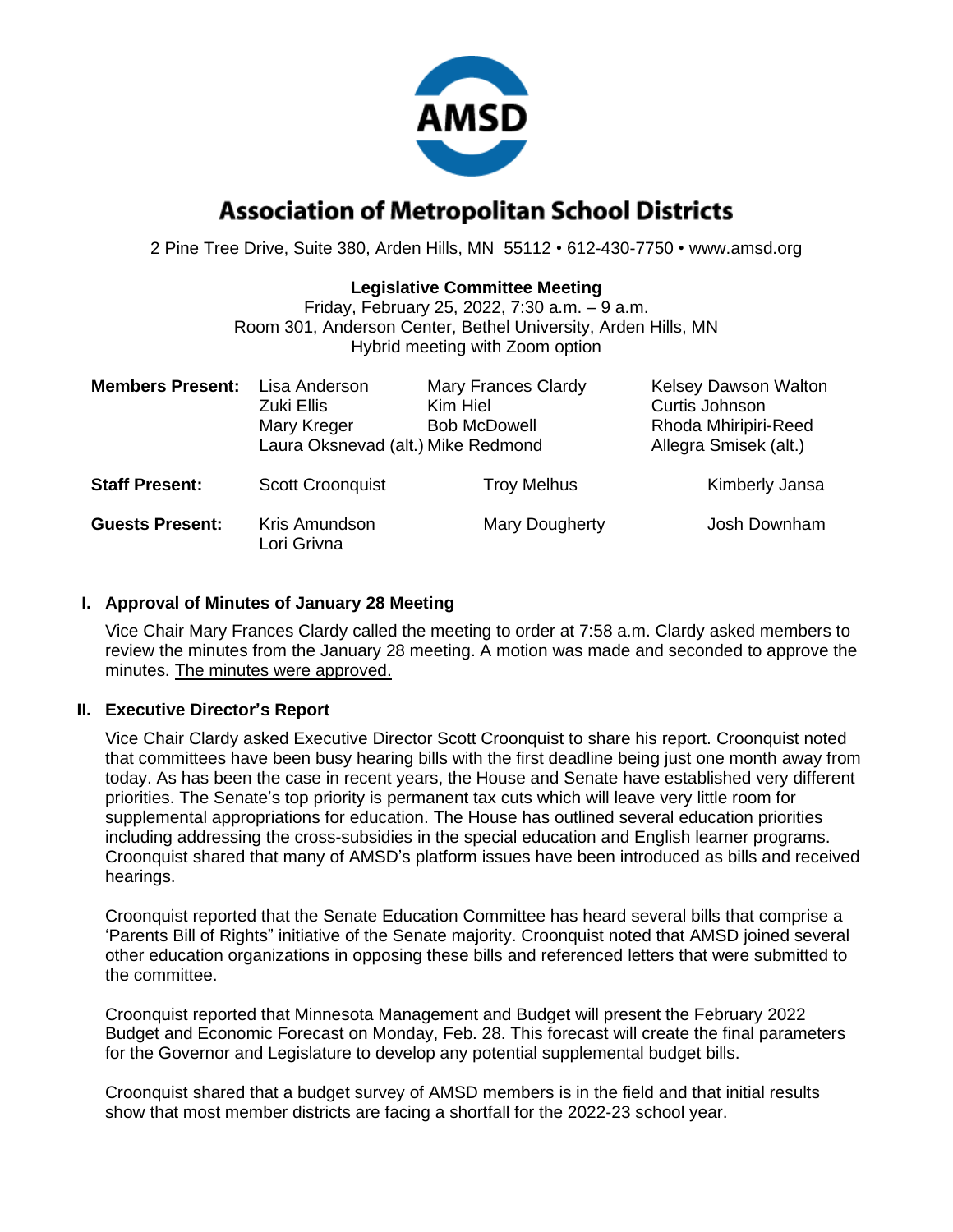

# **Association of Metropolitan School Districts**

2 Pine Tree Drive, Suite 380, Arden Hills, MN 55112 • 612-430-7750 • www.amsd.org

#### **Legislative Committee Meeting**

Friday, February 25, 2022, 7:30 a.m. – 9 a.m. Room 301, Anderson Center, Bethel University, Arden Hills, MN Hybrid meeting with Zoom option

| <b>Members Present:</b> | Lisa Anderson<br>Zuki Ellis<br>Mary Kreger<br>Laura Oksnevad (alt.) Mike Redmond | <b>Mary Frances Clardy</b><br>Kim Hiel<br><b>Bob McDowell</b> | Kelsey Dawson Walton<br>Curtis Johnson<br>Rhoda Mhiripiri-Reed<br>Allegra Smisek (alt.) |
|-------------------------|----------------------------------------------------------------------------------|---------------------------------------------------------------|-----------------------------------------------------------------------------------------|
| <b>Staff Present:</b>   | <b>Scott Croonquist</b>                                                          | <b>Troy Melhus</b>                                            | Kimberly Jansa                                                                          |
| <b>Guests Present:</b>  | Kris Amundson<br>Lori Grivna                                                     | Mary Dougherty                                                | Josh Downham                                                                            |

### **I. Approval of Minutes of January 28 Meeting**

Vice Chair Mary Frances Clardy called the meeting to order at 7:58 a.m. Clardy asked members to review the minutes from the January 28 meeting. A motion was made and seconded to approve the minutes. The minutes were approved.

### **II. Executive Director's Report**

Vice Chair Clardy asked Executive Director Scott Croonquist to share his report. Croonquist noted that committees have been busy hearing bills with the first deadline being just one month away from today. As has been the case in recent years, the House and Senate have established very different priorities. The Senate's top priority is permanent tax cuts which will leave very little room for supplemental appropriations for education. The House has outlined several education priorities including addressing the cross-subsidies in the special education and English learner programs. Croonquist shared that many of AMSD's platform issues have been introduced as bills and received hearings.

Croonquist reported that the Senate Education Committee has heard several bills that comprise a 'Parents Bill of Rights" initiative of the Senate majority. Croonquist noted that AMSD joined several other education organizations in opposing these bills and referenced letters that were submitted to the committee.

Croonquist reported that Minnesota Management and Budget will present the February 2022 Budget and Economic Forecast on Monday, Feb. 28. This forecast will create the final parameters for the Governor and Legislature to develop any potential supplemental budget bills.

Croonquist shared that a budget survey of AMSD members is in the field and that initial results show that most member districts are facing a shortfall for the 2022-23 school year.